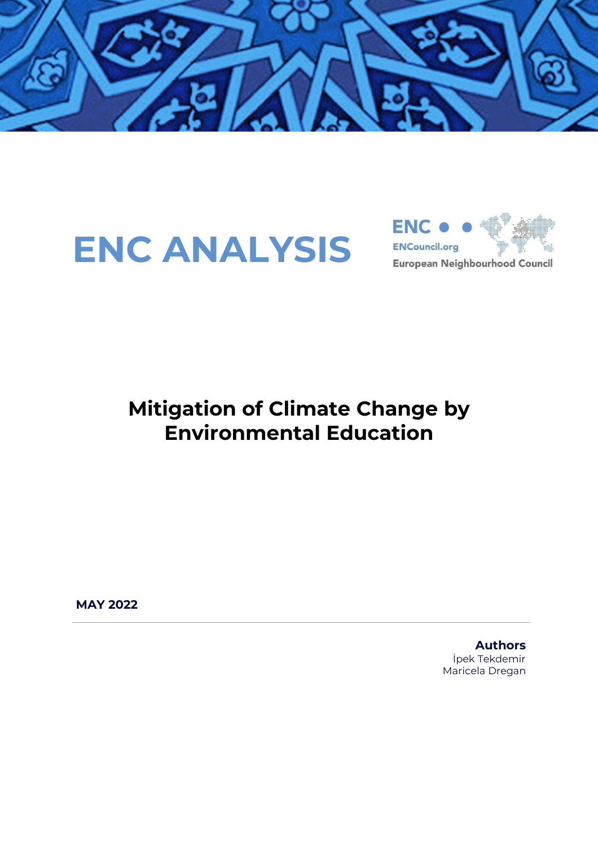

# **ENC ANALYSIS**



### **Mitigation of Climate Change by Environmental Education**

**MAY 2022**

**Authors** İpek Tekdemir Maricela Dregan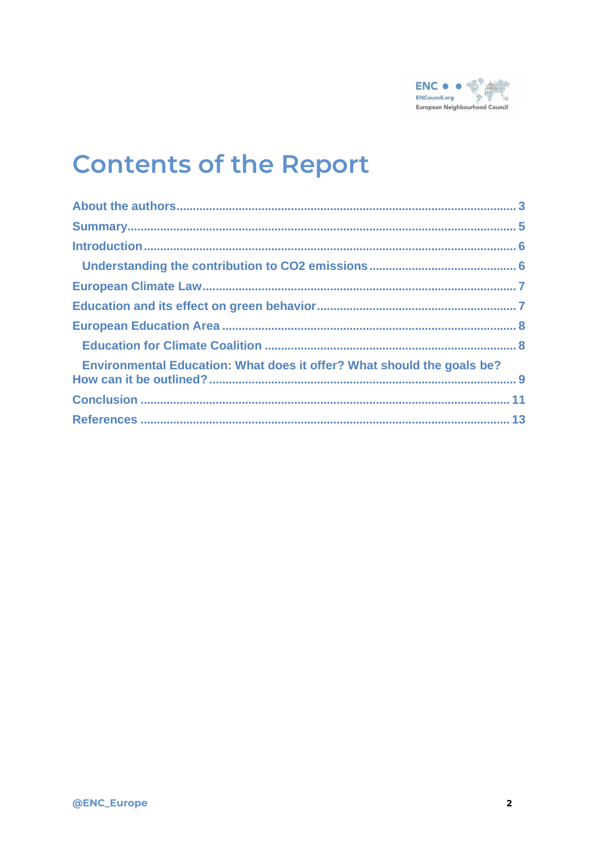

## **Contents of the Report**

| Environmental Education: What does it offer? What should the goals be? |  |
|------------------------------------------------------------------------|--|
|                                                                        |  |
|                                                                        |  |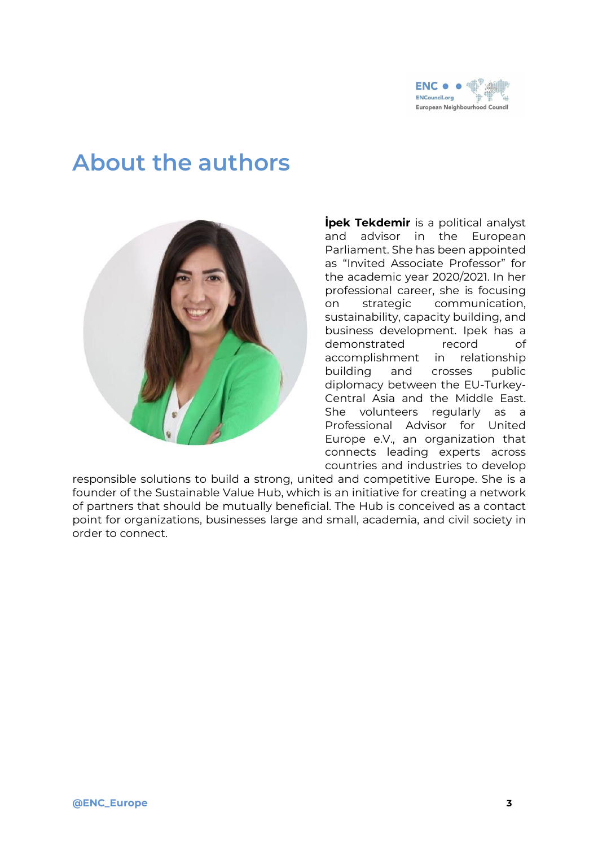

### <span id="page-2-0"></span>**About the authors**



**İpek Tekdemir** is a political analyst and advisor in the European Parliament. She has been appointed as "Invited Associate Professor" for the academic year 2020/2021. In her professional career, she is focusing on strategic communication, sustainability, capacity building, and business development. Ipek has a demonstrated record of accomplishment in relationship building and crosses public diplomacy between the EU-Turkey-Central Asia and the Middle East. She volunteers regularly as a Professional Advisor for United Europe e.V., an organization that connects leading experts across countries and industries to develop

responsible solutions to build a strong, united and competitive Europe. She is a founder of the Sustainable Value Hub, which is an initiative for creating a network of partners that should be mutually beneficial. The Hub is conceived as a contact point for organizations, businesses large and small, academia, and civil society in order to connect.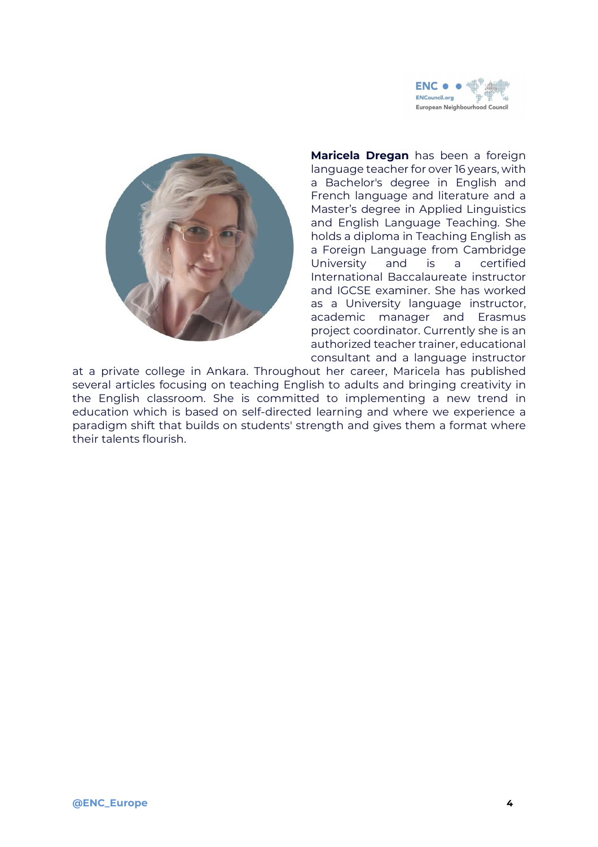



**Maricela Dregan** has been a foreign language teacher for over 16 years, with a Bachelor's degree in English and French language and literature and a Master's degree in Applied Linguistics and English Language Teaching. She holds a diploma in Teaching English as a Foreign Language from Cambridge University and is a certified International Baccalaureate instructor and IGCSE examiner. She has worked as a University language instructor, academic manager and Erasmus project coordinator. Currently she is an authorized teacher trainer, educational consultant and a language instructor

at a private college in Ankara. Throughout her career, Maricela has published several articles focusing on teaching English to adults and bringing creativity in the English classroom. She is committed to implementing a new trend in education which is based on self-directed learning and where we experience a paradigm shift that builds on students' strength and gives them a format where their talents flourish.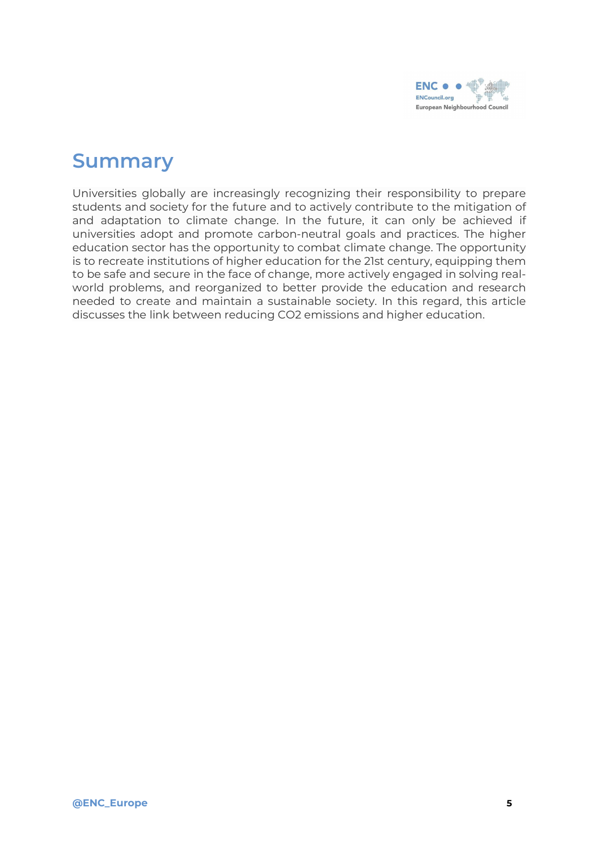

#### <span id="page-4-0"></span>**Summary**

Universities globally are increasingly recognizing their responsibility to prepare students and society for the future and to actively contribute to the mitigation of and adaptation to climate change. In the future, it can only be achieved if universities adopt and promote carbon-neutral goals and practices. The higher education sector has the opportunity to combat climate change. The opportunity is to recreate institutions of higher education for the 21st century, equipping them to be safe and secure in the face of change, more actively engaged in solving realworld problems, and reorganized to better provide the education and research needed to create and maintain a sustainable society. In this regard, this article discusses the link between reducing CO2 emissions and higher education.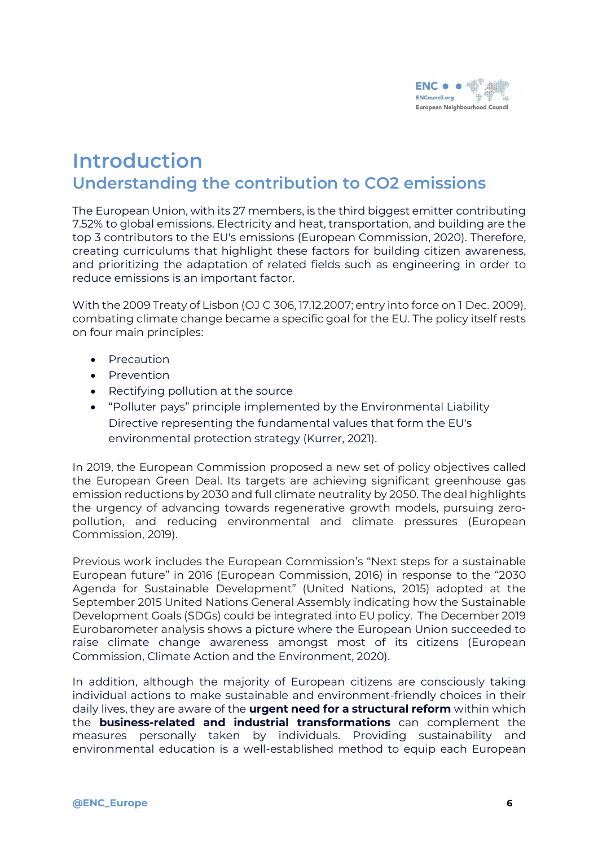

#### <span id="page-5-1"></span><span id="page-5-0"></span>**Introduction Understanding the contribution to CO2 emissions**

The European Union, with its 27 members, is the third biggest emitter contributing 7.52% to global emissions. Electricity and heat, transportation, and building are the top 3 contributors to the EU's emissions (European Commission, 2020). Therefore, creating curriculums that highlight these factors for building citizen awareness, and prioritizing the adaptation of related fields such as engineering in order to reduce emissions is an important factor.

With the 2009 Treaty of Lisbon (OJ C 306, 17.12.2007; entry into force on 1 Dec. 2009), combating climate change became a specific goal for the EU. The policy itself rests on four main principles:

- Precaution
- Prevention
- Rectifying pollution at the source
- "Polluter pays" principle implemented by the Environmental Liability Directive representing the fundamental values that form the EU's environmental protection strategy (Kurrer, 2021).

In 2019, the European Commission proposed a new set of policy objectives called the European Green Deal. Its targets are achieving significant greenhouse gas emission reductions by 2030 and full climate neutrality by 2050. The deal highlights the urgency of advancing towards regenerative growth models, pursuing zeropollution, and reducing environmental and climate pressures (European Commission, 2019).

Previous work includes the European Commission's "Next steps for a sustainable European future" in 2016 (European Commission, 2016) in response to the "2030 Agenda for Sustainable Development" (United Nations, 2015) adopted at the September 2015 United Nations General Assembly indicating how the Sustainable Development Goals (SDGs) could be integrated into EU policy. The December 2019 Eurobarometer analysis shows a picture where the European Union succeeded to raise climate change awareness amongst most of its citizens (European Commission, Climate Action and the Environment, 2020).

In addition, although the majority of European citizens are consciously taking individual actions to make sustainable and environment-friendly choices in their daily lives, they are aware of the **urgent need for a structural reform** within which the **business-related and industrial transformations** can complement the measures personally taken by individuals. Providing sustainability and environmental education is a well-established method to equip each European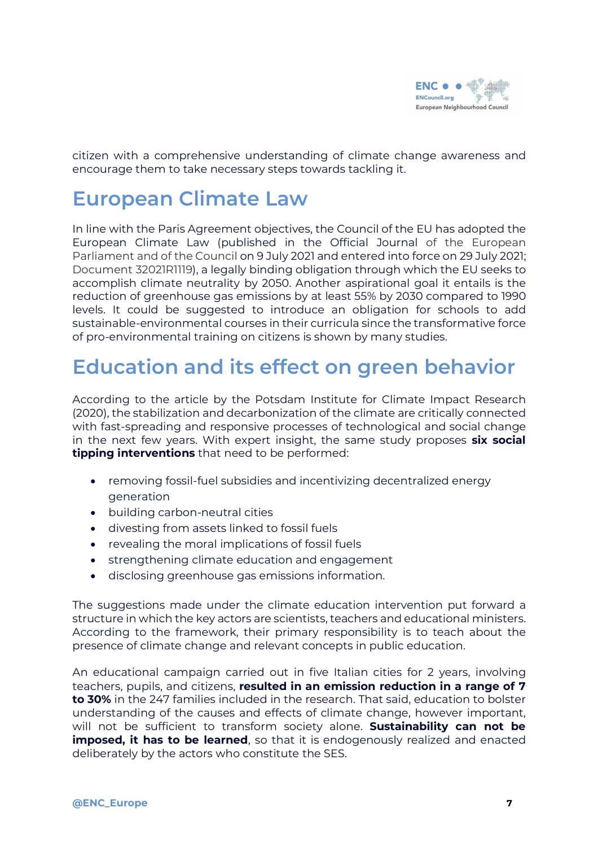

citizen with a comprehensive understanding of climate change awareness and encourage them to take necessary steps towards tackling it.

#### <span id="page-6-0"></span>**European Climate Law**

In line with the Paris Agreement objectives, the Council of the EU has adopted the European Climate Law (published in the Official Journal of the European Parliament and of the Council on 9 July 2021 and entered into force on 29 July 2021; Document 32021R1119), a legally binding obligation through which the EU seeks to accomplish climate neutrality by 2050. Another aspirational goal it entails is the reduction of greenhouse gas emissions by at least 55% by 2030 compared to 1990 levels. It could be suggested to introduce an obligation for schools to add sustainable-environmental courses in their curricula since the transformative force of pro-environmental training on citizens is shown by many studies.

#### <span id="page-6-1"></span>**Education and its effect on green behavior**

According to the article by the Potsdam Institute for Climate Impact Research (2020), the stabilization and decarbonization of the climate are critically connected with fast-spreading and responsive processes of technological and social change in the next few years. With expert insight, the same study proposes **six social tipping interventions** that need to be performed:

- removing fossil-fuel subsidies and incentivizing decentralized energy generation
- building carbon-neutral cities
- divesting from assets linked to fossil fuels
- revealing the moral implications of fossil fuels
- strengthening climate education and engagement
- disclosing greenhouse gas emissions information.

The suggestions made under the climate education intervention put forward a structure in which the key actors are scientists, teachers and educational ministers. According to the framework, their primary responsibility is to teach about the presence of climate change and relevant concepts in public education.

An educational campaign carried out in five Italian cities for 2 years, involving teachers, pupils, and citizens, **resulted in an emission reduction in a range of 7 to 30%** in the 247 families included in the research. That said, education to bolster understanding of the causes and effects of climate change, however important, will not be sufficient to transform society alone. **Sustainability can not be imposed, it has to be learned**, so that it is endogenously realized and enacted deliberately by the actors who constitute the SES.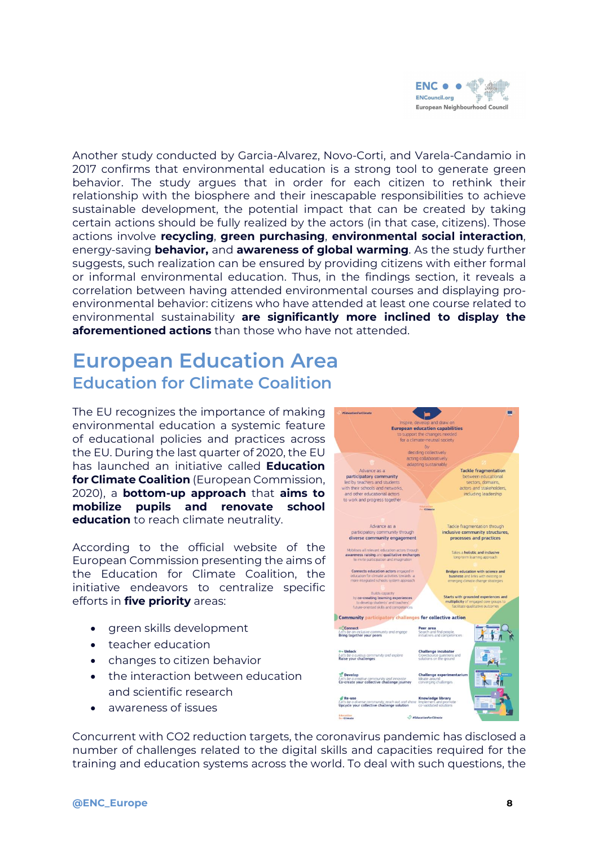

Another study conducted by Garcia-Alvarez, Novo-Corti, and Varela-Candamio in 2017 confirms that environmental education is a strong tool to generate green behavior. The study argues that in order for each citizen to rethink their relationship with the biosphere and their inescapable responsibilities to achieve sustainable development, the potential impact that can be created by taking certain actions should be fully realized by the actors (in that case, citizens). Those actions involve **recycling**, **green purchasing**, **environmental social interaction**, energy-saving **behavior,** and **awareness of global warming**. As the study further suggests, such realization can be ensured by providing citizens with either formal or informal environmental education. Thus, in the findings section, it reveals a correlation between having attended environmental courses and displaying proenvironmental behavior: citizens who have attended at least one course related to environmental sustainability **are significantly more inclined to display the aforementioned actions** than those who have not attended.

#### <span id="page-7-1"></span><span id="page-7-0"></span>**European Education Area Education for Climate Coalition**

The EU recognizes the importance of making environmental education a systemic feature of educational policies and practices across the EU. During the last quarter of 2020, the EU has launched an initiative called **Education for Climate Coalition** (European Commission, 2020), a **bottom-up approach** that **aims to mobilize pupils and renovate school education** to reach climate neutrality.

According to the official website of the European Commission presenting the aims of the Education for Climate Coalition, the initiative endeavors to centralize specific efforts in **five priority** areas:

- green skills development
- teacher education
- changes to citizen behavior
- the interaction between education and scientific research
- awareness of issues

 $\sim$   $\blacksquare$ **European education capabilities** deciding collectively<br>acting collaboratively adapting sustainably Advance as a Tackle fragmentation Advance as a<br>participatory community<br>led by teachers and students<br>ith their schools and network<br>and other educational actors<br>to work and progress togethe Tackle tragmentation<br>between educational<br>sectors, domains,<br>actors and stakeholders<br>including leadership Tackle fragmentation through Advance as a inclusive community structures. diverse community engagement processes and practices Takes a holistic and inclus awareness raising and qualitative exchange ects education actors en Bridges education with science and Builds capacity<br>co-creating learning explodents and to Starts with grounded experie Community narth es for collective action Peer area<br>Search and find peop<br>initiatives and compe  $\infty$  Connect occ**Connect**<br>Let's be an inclusive community and en<br>**Bring together your peers**  $151$ o- Unlock<br>Let's be a curious comm<br>Raise your challenges **Challenge incubator** unity and expli Let's be a creative community and innovative<br>Co-create your collective challenge jour **Re-use**<br>Let's be a diverse community, reach out and s<br>Upcycle your collective challenge solution Education

Concurrent with CO2 reduction targets, the coronavirus pandemic has disclosed a number of challenges related to the digital skills and capacities required for the training and education systems across the world. To deal with such questions, the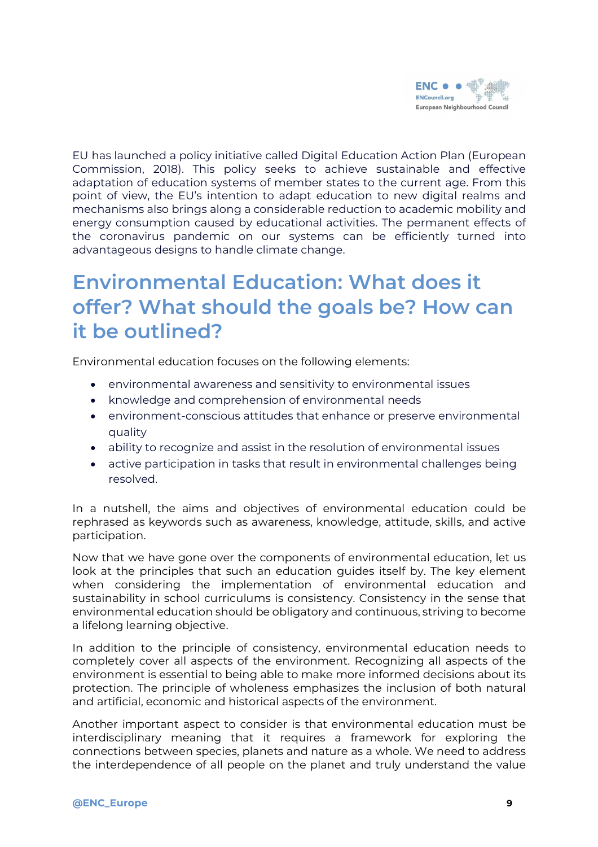

EU has launched a policy initiative called Digital Education Action Plan (European Commission, 2018). This policy seeks to achieve sustainable and effective adaptation of education systems of member states to the current age. From this point of view, the EU's intention to adapt education to new digital realms and mechanisms also brings along a considerable reduction to academic mobility and energy consumption caused by educational activities. The permanent effects of the coronavirus pandemic on our systems can be efficiently turned into advantageous designs to handle climate change.

#### <span id="page-8-0"></span>**Environmental Education: What does it offer? What should the goals be? How can it be outlined?**

Environmental education focuses on the following elements:

- environmental awareness and sensitivity to environmental issues
- knowledge and comprehension of environmental needs
- environment-conscious attitudes that enhance or preserve environmental quality
- ability to recognize and assist in the resolution of environmental issues
- active participation in tasks that result in environmental challenges being resolved.

In a nutshell, the aims and objectives of environmental education could be rephrased as keywords such as awareness, knowledge, attitude, skills, and active participation.

Now that we have gone over the components of environmental education, let us look at the principles that such an education guides itself by. The key element when considering the implementation of environmental education and sustainability in school curriculums is consistency. Consistency in the sense that environmental education should be obligatory and continuous, striving to become a lifelong learning objective.

In addition to the principle of consistency, environmental education needs to completely cover all aspects of the environment. Recognizing all aspects of the environment is essential to being able to make more informed decisions about its protection. The principle of wholeness emphasizes the inclusion of both natural and artificial, economic and historical aspects of the environment.

Another important aspect to consider is that environmental education must be interdisciplinary meaning that it requires a framework for exploring the connections between species, planets and nature as a whole. We need to address the interdependence of all people on the planet and truly understand the value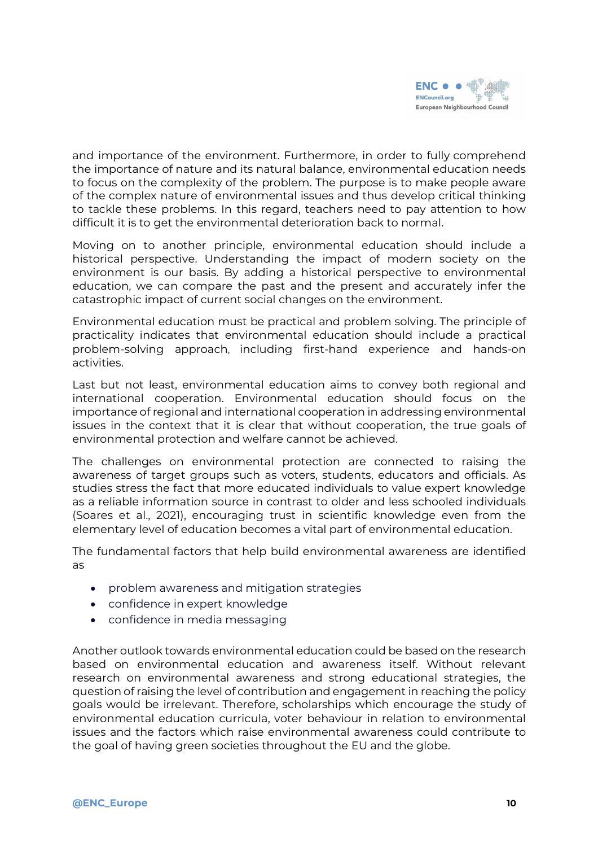

and importance of the environment. Furthermore, in order to fully comprehend the importance of nature and its natural balance, environmental education needs to focus on the complexity of the problem. The purpose is to make people aware of the complex nature of environmental issues and thus develop critical thinking to tackle these problems. In this regard, teachers need to pay attention to how difficult it is to get the environmental deterioration back to normal.

Moving on to another principle, environmental education should include a historical perspective. Understanding the impact of modern society on the environment is our basis. By adding a historical perspective to environmental education, we can compare the past and the present and accurately infer the catastrophic impact of current social changes on the environment.

Environmental education must be practical and problem solving. The principle of practicality indicates that environmental education should include a practical problem-solving approach, including first-hand experience and hands-on activities.

Last but not least, environmental education aims to convey both regional and international cooperation. Environmental education should focus on the importance of regional and international cooperation in addressing environmental issues in the context that it is clear that without cooperation, the true goals of environmental protection and welfare cannot be achieved.

The challenges on environmental protection are connected to raising the awareness of target groups such as voters, students, educators and officials. As studies stress the fact that more educated individuals to value expert knowledge as a reliable information source in contrast to older and less schooled individuals (Soares et al., 2021), encouraging trust in scientific knowledge even from the elementary level of education becomes a vital part of environmental education.

The fundamental factors that help build environmental awareness are identified as

- problem awareness and mitigation strategies
- confidence in expert knowledge
- confidence in media messaging

Another outlook towards environmental education could be based on the research based on environmental education and awareness itself. Without relevant research on environmental awareness and strong educational strategies, the question of raising the level of contribution and engagement in reaching the policy goals would be irrelevant. Therefore, scholarships which encourage the study of environmental education curricula, voter behaviour in relation to environmental issues and the factors which raise environmental awareness could contribute to the goal of having green societies throughout the EU and the globe.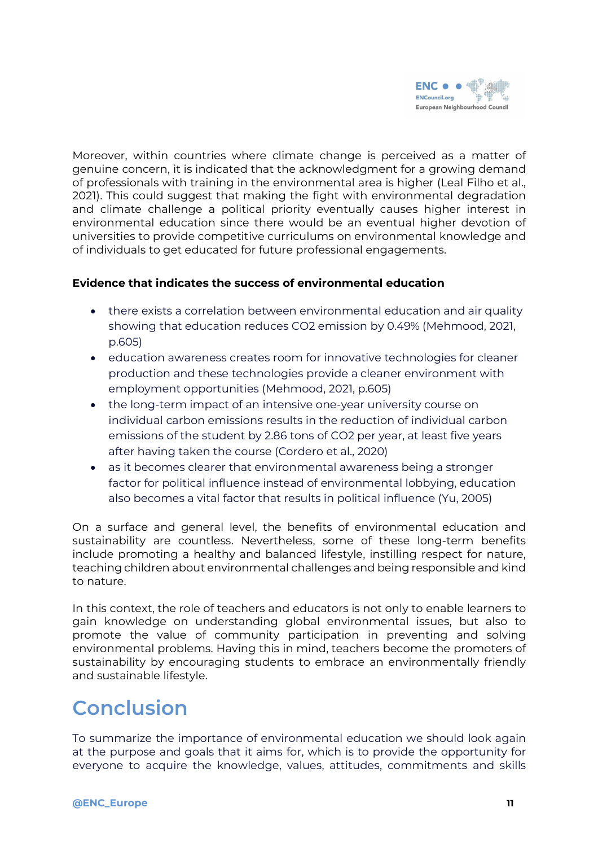

Moreover, within countries where climate change is perceived as a matter of genuine concern, it is indicated that the acknowledgment for a growing demand of professionals with training in the environmental area is higher (Leal Filho et al., 2021). This could suggest that making the fight with environmental degradation and climate challenge a political priority eventually causes higher interest in environmental education since there would be an eventual higher devotion of universities to provide competitive curriculums on environmental knowledge and of individuals to get educated for future professional engagements.

#### **Evidence that indicates the success of environmental education**

- there exists a correlation between environmental education and air quality showing that education reduces CO2 emission by 0.49% (Mehmood, 2021, p.605)
- education awareness creates room for innovative technologies for cleaner production and these technologies provide a cleaner environment with employment opportunities (Mehmood, 2021, p.605)
- the long-term impact of an intensive one-year university course on individual carbon emissions results in the reduction of individual carbon emissions of the student by 2.86 tons of CO2 per year, at least five years after having taken the course (Cordero et al., 2020)
- as it becomes clearer that environmental awareness being a stronger factor for political influence instead of environmental lobbying, education also becomes a vital factor that results in political influence (Yu, 2005)

On a surface and general level, the benefits of environmental education and sustainability are countless. Nevertheless, some of these long-term benefits include promoting a healthy and balanced lifestyle, instilling respect for nature, teaching children about environmental challenges and being responsible and kind to nature.

In this context, the role of teachers and educators is not only to enable learners to gain knowledge on understanding global environmental issues, but also to promote the value of community participation in preventing and solving environmental problems. Having this in mind, teachers become the promoters of sustainability by encouraging students to embrace an environmentally friendly and sustainable lifestyle.

#### <span id="page-10-0"></span>**Conclusion**

To summarize the importance of environmental education we should look again at the purpose and goals that it aims for, which is to provide the opportunity for everyone to acquire the knowledge, values, attitudes, commitments and skills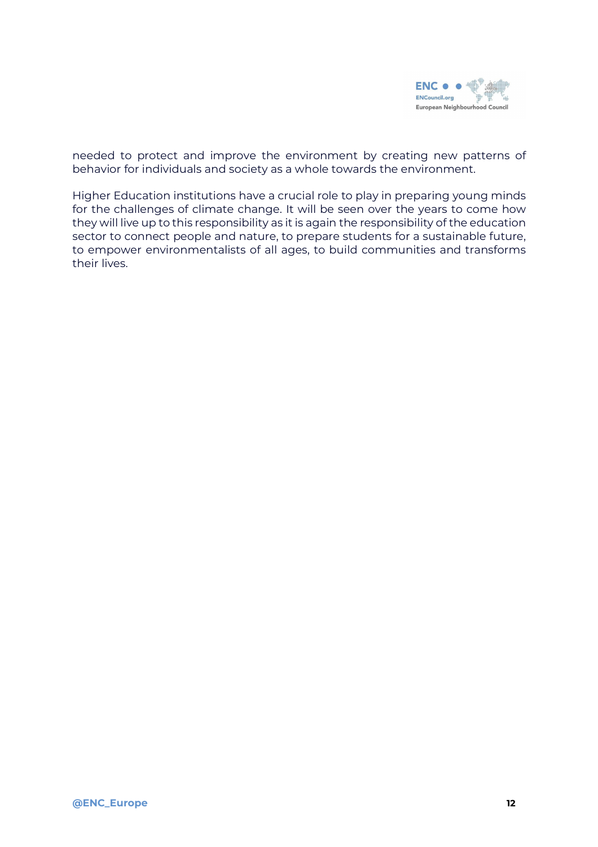

needed to protect and improve the environment by creating new patterns of behavior for individuals and society as a whole towards the environment.

Higher Education institutions have a crucial role to play in preparing young minds for the challenges of climate change. It will be seen over the years to come how they will live up to this responsibility as it is again the responsibility of the education sector to connect people and nature, to prepare students for a sustainable future, to empower environmentalists of all ages, to build communities and transforms their lives.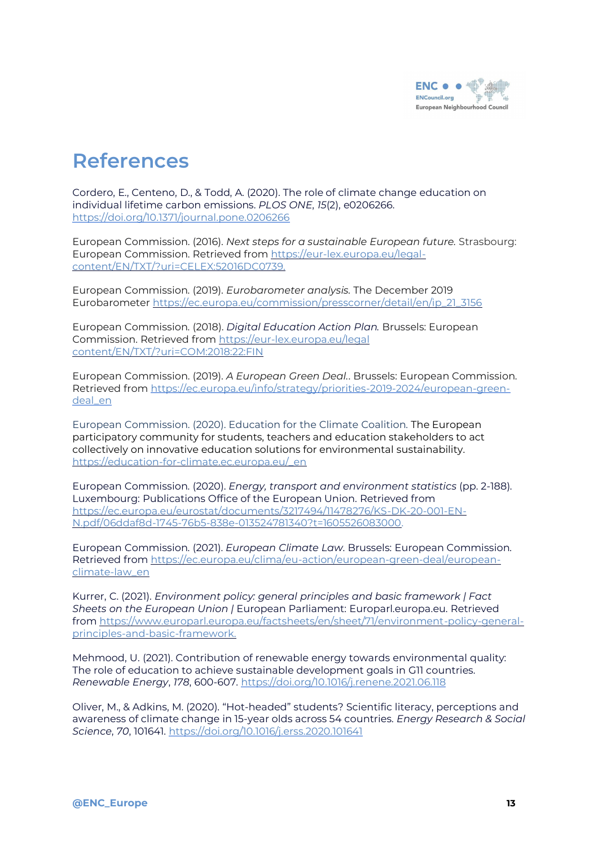

#### <span id="page-12-0"></span>**References**

Cordero, E., Centeno, D., & Todd, A. (2020). The role of climate change education on individual lifetime carbon emissions. *PLOS ONE*, *15*(2), e0206266. <https://doi.org/10.1371/journal.pone.0206266>

European Commission. (2016). *Next steps for a sustainable European future.* Strasbourg: European Commission. Retrieved from [https://eur-lex.europa.eu/legal](https://eur-lex.europa.eu/legal-content/EN/TXT/?uri=CELEX:52016DC0739.)[content/EN/TXT/?uri=CELEX:52016DC0739.](https://eur-lex.europa.eu/legal-content/EN/TXT/?uri=CELEX:52016DC0739.)

European Commission. (2019). *Eurobarometer analysis.* The December 2019 Eurobarometer [https://ec.europa.eu/commission/presscorner/detail/en/ip\\_21\\_3156](https://ec.europa.eu/commission/presscorner/detail/en/ip_21_3156)

European Commission. (2018). *Digital Education Action Plan.* Brussels: European Commission. Retrieved from [https://eur-lex.europa.eu/legal](https://eur-lex.europa.eu/legal%20content/EN/TXT/?uri=COM:2018:22:FIN) [content/EN/TXT/?uri=COM:2018:22:FIN](https://eur-lex.europa.eu/legal%20content/EN/TXT/?uri=COM:2018:22:FIN)

European Commission. (2019). *A European Green Deal.*. Brussels: European Commission. Retrieved from [https://ec.europa.eu/info/strategy/priorities-2019-2024/european-green](https://ec.europa.eu/info/strategy/priorities-2019-2024/european-green-deal_en)[deal\\_en](https://ec.europa.eu/info/strategy/priorities-2019-2024/european-green-deal_en)

European Commission. (2020). Education for the Climate Coalition. The European participatory community for students, teachers and education stakeholders to act collectively on innovative education solutions for environmental sustainability. [https://education-for-climate.ec.europa.eu/\\_en](https://education-for-climate.ec.europa.eu/_en)

European Commission. (2020). *Energy, transport and environment statistics* (pp. 2-188). Luxembourg: Publications Office of the European Union. Retrieved from [https://ec.europa.eu/eurostat/documents/3217494/11478276/KS-DK-20-001-EN-](https://ec.europa.eu/eurostat/documents/3217494/11478276/KS-DK-20-001-EN-N.pdf/06ddaf8d-1745-76b5-838e-013524781340?t=1605526083000.)[N.pdf/06ddaf8d-1745-76b5-838e-013524781340?t=1605526083000.](https://ec.europa.eu/eurostat/documents/3217494/11478276/KS-DK-20-001-EN-N.pdf/06ddaf8d-1745-76b5-838e-013524781340?t=1605526083000.)

European Commission. (2021). *European Climate Law*. Brussels: European Commission. Retrieved from [https://ec.europa.eu/clima/eu-action/european-green-deal/european](https://ec.europa.eu/clima/eu-action/european-green-deal/european-climate-law_en)[climate-law\\_en](https://ec.europa.eu/clima/eu-action/european-green-deal/european-climate-law_en)

Kurrer, C. (2021). *Environment policy: general principles and basic framework | Fact Sheets on the European Union |* European Parliament: Europarl.europa.eu. Retrieved from [https://www.europarl.europa.eu/factsheets/en/sheet/71/environment-policy-general](https://www.europarl.europa.eu/factsheets/en/sheet/71/environment-policy-general-principles-and-basic-framework.)[principles-and-basic-framework.](https://www.europarl.europa.eu/factsheets/en/sheet/71/environment-policy-general-principles-and-basic-framework.)

Mehmood, U. (2021). Contribution of renewable energy towards environmental quality: The role of education to achieve sustainable development goals in G11 countries. *Renewable Energy*, *178*, 600-607. <https://doi.org/10.1016/j.renene.2021.06.118>

Oliver, M., & Adkins, M. (2020). "Hot-headed" students? Scientific literacy, perceptions and awareness of climate change in 15-year olds across 54 countries. *Energy Research & Social Science*, *70*, 101641. <https://doi.org/10.1016/j.erss.2020.101641>